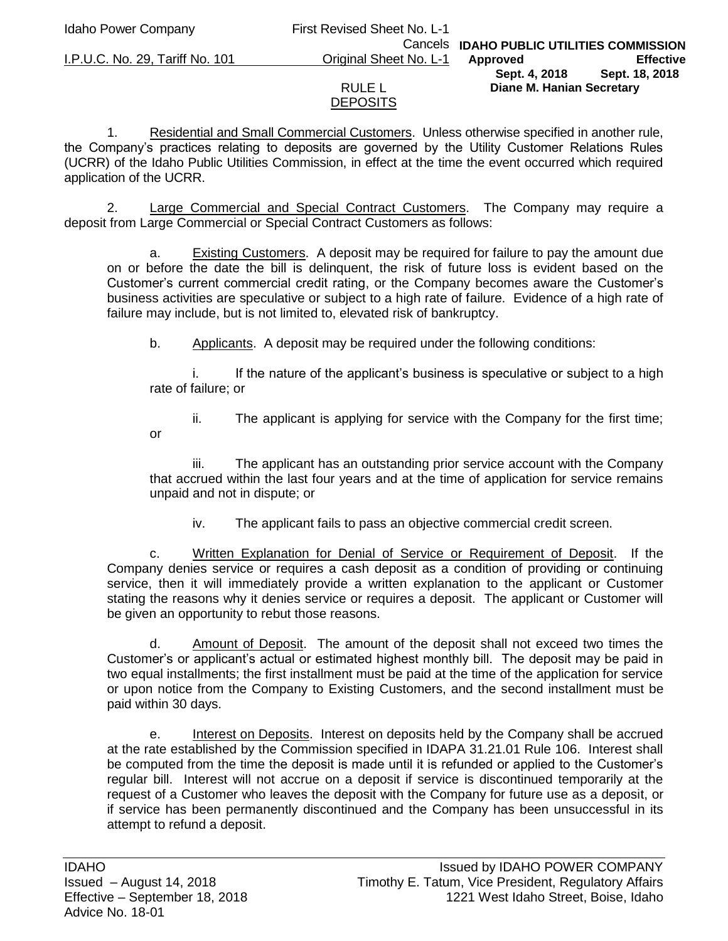# Idaho Power Company First Revised Sheet No. L-1

I.P.U.C. No. 29, Tariff No. 101 Original Sheet No. L-1

or

#### Cancels **IDAHO PUBLIC UTILITIES COMMISSION Approved Effective Sept. 4, 2018 Sept. 18, 2018 Diane M. Hanian Secretary**

## RULE L **DEPOSITS**

1. Residential and Small Commercial Customers. Unless otherwise specified in another rule, the Company's practices relating to deposits are governed by the Utility Customer Relations Rules (UCRR) of the Idaho Public Utilities Commission, in effect at the time the event occurred which required application of the UCRR.

2. Large Commercial and Special Contract Customers. The Company may require a deposit from Large Commercial or Special Contract Customers as follows:

a. Existing Customers. A deposit may be required for failure to pay the amount due on or before the date the bill is delinquent, the risk of future loss is evident based on the Customer's current commercial credit rating, or the Company becomes aware the Customer's business activities are speculative or subject to a high rate of failure. Evidence of a high rate of failure may include, but is not limited to, elevated risk of bankruptcy.

b. Applicants. A deposit may be required under the following conditions:

If the nature of the applicant's business is speculative or subject to a high rate of failure; or

ii. The applicant is applying for service with the Company for the first time;

iii. The applicant has an outstanding prior service account with the Company that accrued within the last four years and at the time of application for service remains unpaid and not in dispute; or

iv. The applicant fails to pass an objective commercial credit screen.

c. Written Explanation for Denial of Service or Requirement of Deposit. If the Company denies service or requires a cash deposit as a condition of providing or continuing service, then it will immediately provide a written explanation to the applicant or Customer stating the reasons why it denies service or requires a deposit. The applicant or Customer will be given an opportunity to rebut those reasons.

d. Amount of Deposit. The amount of the deposit shall not exceed two times the Customer's or applicant's actual or estimated highest monthly bill. The deposit may be paid in two equal installments; the first installment must be paid at the time of the application for service or upon notice from the Company to Existing Customers, and the second installment must be paid within 30 days.

e. Interest on Deposits. Interest on deposits held by the Company shall be accrued at the rate established by the Commission specified in IDAPA 31.21.01 Rule 106. Interest shall be computed from the time the deposit is made until it is refunded or applied to the Customer's regular bill. Interest will not accrue on a deposit if service is discontinued temporarily at the request of a Customer who leaves the deposit with the Company for future use as a deposit, or if service has been permanently discontinued and the Company has been unsuccessful in its attempt to refund a deposit.